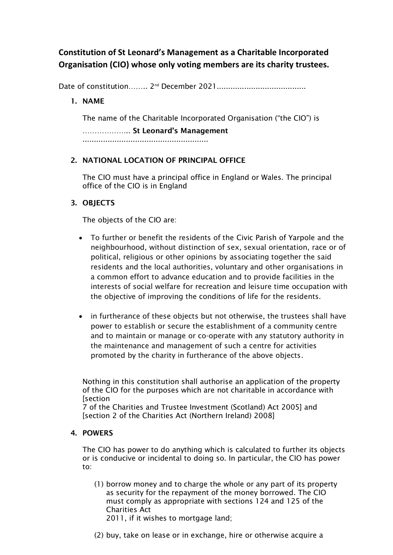# **Constitution of St Leonard's Management as a Charitable Incorporated Organisation (CIO) whose only voting members are its charity trustees.**

Date of constitution…….. 2 nd December 2021.......................................

# 1. NAME

The name of the Charitable Incorporated Organisation ("the CIO") is

……………….. St Leonard's Management

.......................................................

# 2. NATIONAL LOCATION OF PRINCIPAL OFFICE

The CIO must have a principal office in England or Wales. The principal office of the CIO is in England

## 3. OBJECTS

The objects of the CIO are:

- To further or benefit the residents of the Civic Parish of Yarpole and the neighbourhood, without distinction of sex, sexual orientation, race or of political, religious or other opinions by associating together the said residents and the local authorities, voluntary and other organisations in a common effort to advance education and to provide facilities in the interests of social welfare for recreation and leisure time occupation with the objective of improving the conditions of life for the residents.
- in furtherance of these objects but not otherwise, the trustees shall have power to establish or secure the establishment of a community centre and to maintain or manage or co-operate with any statutory authority in the maintenance and management of such a centre for activities promoted by the charity in furtherance of the above objects.

Nothing in this constitution shall authorise an application of the property of the CIO for the purposes which are not charitable in accordance with **[section** 

7 of the Charities and Trustee Investment (Scotland) Act 2005] and [section 2 of the Charities Act (Northern Ireland) 2008]

## 4. POWERS

The CIO has power to do anything which is calculated to further its objects or is conducive or incidental to doing so. In particular, the CIO has power to:

- (1) borrow money and to charge the whole or any part of its property as security for the repayment of the money borrowed. The CIO must comply as appropriate with sections 124 and 125 of the Charities Act 2011, if it wishes to mortgage land;
	-
- (2) buy, take on lease or in exchange, hire or otherwise acquire a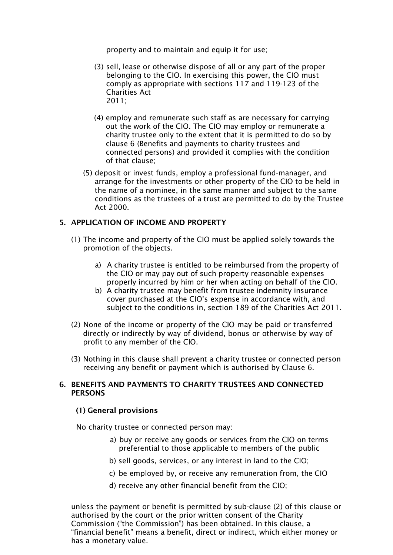property and to maintain and equip it for use;

- (3) sell, lease or otherwise dispose of all or any part of the proper belonging to the CIO. In exercising this power, the CIO must comply as appropriate with sections 117 and 119-123 of the Charities Act 2011;
- (4) employ and remunerate such staff as are necessary for carrying out the work of the CIO. The CIO may employ or remunerate a charity trustee only to the extent that it is permitted to do so by clause 6 (Benefits and payments to charity trustees and connected persons) and provided it complies with the condition of that clause;
- (5) deposit or invest funds, employ a professional fund-manager, and arrange for the investments or other property of the CIO to be held in the name of a nominee, in the same manner and subject to the same conditions as the trustees of a trust are permitted to do by the Trustee Act 2000.

## 5. APPLICATION OF INCOME AND PROPERTY

- (1) The income and property of the CIO must be applied solely towards the promotion of the objects.
	- a) A charity trustee is entitled to be reimbursed from the property of the CIO or may pay out of such property reasonable expenses properly incurred by him or her when acting on behalf of the CIO.
	- b) A charity trustee may benefit from trustee indemnity insurance cover purchased at the CIO's expense in accordance with, and subject to the conditions in, section 189 of the Charities Act 2011.
- (2) None of the income or property of the CIO may be paid or transferred directly or indirectly by way of dividend, bonus or otherwise by way of profit to any member of the CIO.
- (3) Nothing in this clause shall prevent a charity trustee or connected person receiving any benefit or payment which is authorised by Clause 6.

## 6. BENEFITS AND PAYMENTS TO CHARITY TRUSTEES AND CONNECTED **PERSONS**

## (1) General provisions

No charity trustee or connected person may:

- a) buy or receive any goods or services from the CIO on terms preferential to those applicable to members of the public
- b) sell goods, services, or any interest in land to the CIO;
- c) be employed by, or receive any remuneration from, the CIO
- d) receive any other financial benefit from the CIO;

unless the payment or benefit is permitted by sub-clause (2) of this clause or authorised by the court or the prior written consent of the Charity Commission ("the Commission") has been obtained. In this clause, a "financial benefit" means a benefit, direct or indirect, which either money or has a monetary value.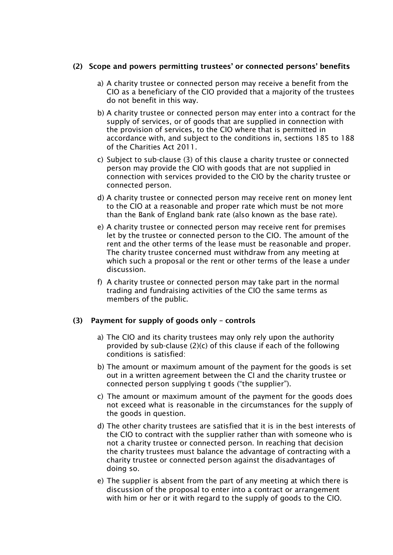## (2) Scope and powers permitting trustees' or connected persons' benefits

- a) A charity trustee or connected person may receive a benefit from the CIO as a beneficiary of the CIO provided that a majority of the trustees do not benefit in this way.
- b) A charity trustee or connected person may enter into a contract for the supply of services, or of goods that are supplied in connection with the provision of services, to the CIO where that is permitted in accordance with, and subject to the conditions in, sections 185 to 188 of the Charities Act 2011.
- c) Subject to sub-clause (3) of this clause a charity trustee or connected person may provide the CIO with goods that are not supplied in connection with services provided to the CIO by the charity trustee or connected person.
- d) A charity trustee or connected person may receive rent on money lent to the CIO at a reasonable and proper rate which must be not more than the Bank of England bank rate (also known as the base rate).
- e) A charity trustee or connected person may receive rent for premises let by the trustee or connected person to the CIO. The amount of the rent and the other terms of the lease must be reasonable and proper. The charity trustee concerned must withdraw from any meeting at which such a proposal or the rent or other terms of the lease a under discussion.
- f) A charity trustee or connected person may take part in the normal trading and fundraising activities of the CIO the same terms as members of the public.

## (3) Payment for supply of goods only – controls

- a) The CIO and its charity trustees may only rely upon the authority provided by sub-clause (2)(c) of this clause if each of the following conditions is satisfied:
- b) The amount or maximum amount of the payment for the goods is set out in a written agreement between the CI and the charity trustee or connected person supplying t goods ("the supplier").
- c) The amount or maximum amount of the payment for the goods does not exceed what is reasonable in the circumstances for the supply of the goods in question.
- d) The other charity trustees are satisfied that it is in the best interests of the CIO to contract with the supplier rather than with someone who is not a charity trustee or connected person. In reaching that decision the charity trustees must balance the advantage of contracting with a charity trustee or connected person against the disadvantages of doing so.
- e) The supplier is absent from the part of any meeting at which there is discussion of the proposal to enter into a contract or arrangement with him or her or it with regard to the supply of goods to the CIO.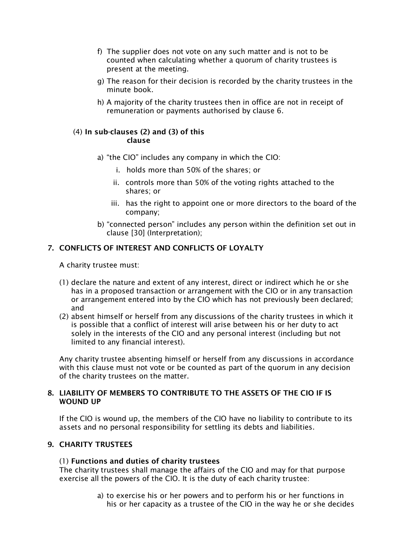- f) The supplier does not vote on any such matter and is not to be counted when calculating whether a quorum of charity trustees is present at the meeting.
- g) The reason for their decision is recorded by the charity trustees in the minute book.
- h) A majority of the charity trustees then in office are not in receipt of remuneration or payments authorised by clause 6.

#### (4) In sub-clauses (2) and (3) of this clause

- a) "the CIO" includes any company in which the CIO:
	- i. holds more than 50% of the shares; or
	- ii. controls more than 50% of the voting rights attached to the shares; or
	- iii. has the right to appoint one or more directors to the board of the company;
- b) "connected person" includes any person within the definition set out in clause [30] (Interpretation);

## 7. CONFLICTS OF INTEREST AND CONFLICTS OF LOYALTY

A charity trustee must:

- (1) declare the nature and extent of any interest, direct or indirect which he or she has in a proposed transaction or arrangement with the CIO or in any transaction or arrangement entered into by the CIO which has not previously been declared; and
- (2) absent himself or herself from any discussions of the charity trustees in which it is possible that a conflict of interest will arise between his or her duty to act solely in the interests of the CIO and any personal interest (including but not limited to any financial interest).

Any charity trustee absenting himself or herself from any discussions in accordance with this clause must not vote or be counted as part of the quorum in any decision of the charity trustees on the matter.

## 8. LIABILITY OF MEMBERS TO CONTRIBUTE TO THE ASSETS OF THE CIO IF IS WOUND UP

If the CIO is wound up, the members of the CIO have no liability to contribute to its assets and no personal responsibility for settling its debts and liabilities.

## 9. CHARITY TRUSTEES

## (1) Functions and duties of charity trustees

The charity trustees shall manage the affairs of the CIO and may for that purpose exercise all the powers of the CIO. It is the duty of each charity trustee:

> a) to exercise his or her powers and to perform his or her functions in his or her capacity as a trustee of the CIO in the way he or she decides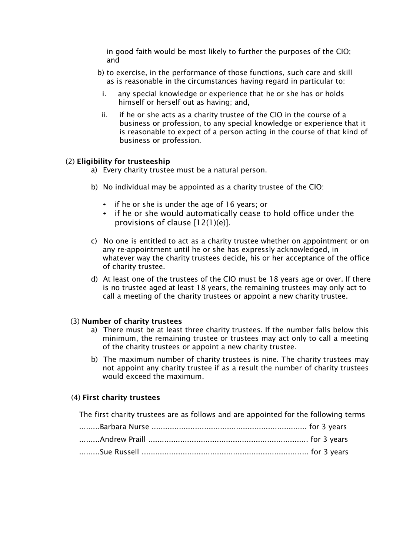in good faith would be most likely to further the purposes of the CIO; and

- b) to exercise, in the performance of those functions, such care and skill as is reasonable in the circumstances having regard in particular to:
	- i. any special knowledge or experience that he or she has or holds himself or herself out as having; and,
	- ii. if he or she acts as a charity trustee of the CIO in the course of a business or profession, to any special knowledge or experience that it is reasonable to expect of a person acting in the course of that kind of business or profession.

#### (2) Eligibility for trusteeship

- a) Every charity trustee must be a natural person.
- b) No individual may be appointed as a charity trustee of the CIO:
	- if he or she is under the age of 16 years; or
	- if he or she would automatically cease to hold office under the provisions of clause [12(1)(e)].
- c) No one is entitled to act as a charity trustee whether on appointment or on any re-appointment until he or she has expressly acknowledged, in whatever way the charity trustees decide, his or her acceptance of the office of charity trustee.
- d) At least one of the trustees of the CIO must be 18 years age or over. If there is no trustee aged at least 18 years, the remaining trustees may only act to call a meeting of the charity trustees or appoint a new charity trustee.

#### (3) Number of charity trustees

- a) There must be at least three charity trustees. If the number falls below this minimum, the remaining trustee or trustees may act only to call a meeting of the charity trustees or appoint a new charity trustee.
- b) The maximum number of charity trustees is nine. The charity trustees may not appoint any charity trustee if as a result the number of charity trustees would exceed the maximum.

#### (4) First charity trustees

The first charity trustees are as follows and are appointed for the following terms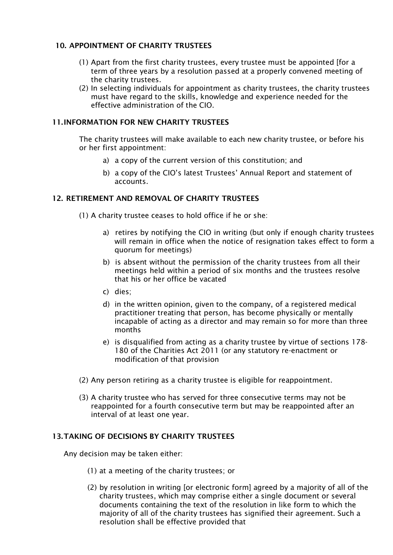## 10. APPOINTMENT OF CHARITY TRUSTEES

- (1) Apart from the first charity trustees, every trustee must be appointed [for a term of three years by a resolution passed at a properly convened meeting of the charity trustees.
- (2) In selecting individuals for appointment as charity trustees, the charity trustees must have regard to the skills, knowledge and experience needed for the effective administration of the CIO.

## 11.INFORMATION FOR NEW CHARITY TRUSTEES

The charity trustees will make available to each new charity trustee, or before his or her first appointment:

- a) a copy of the current version of this constitution; and
- b) a copy of the CIO's latest Trustees' Annual Report and statement of accounts.

## 12. RETIREMENT AND REMOVAL OF CHARITY TRUSTEES

- (1) A charity trustee ceases to hold office if he or she:
	- a) retires by notifying the CIO in writing (but only if enough charity trustees will remain in office when the notice of resignation takes effect to form a quorum for meetings)
	- b) is absent without the permission of the charity trustees from all their meetings held within a period of six months and the trustees resolve that his or her office be vacated
	- c) dies;
	- d) in the written opinion, given to the company, of a registered medical practitioner treating that person, has become physically or mentally incapable of acting as a director and may remain so for more than three months
	- e) is disqualified from acting as a charity trustee by virtue of sections 178- 180 of the Charities Act 2011 (or any statutory re-enactment or modification of that provision
- (2) Any person retiring as a charity trustee is eligible for reappointment.
- (3) A charity trustee who has served for three consecutive terms may not be reappointed for a fourth consecutive term but may be reappointed after an interval of at least one year.

## 13.TAKING OF DECISIONS BY CHARITY TRUSTEES

Any decision may be taken either:

- (1) at a meeting of the charity trustees; or
- (2) by resolution in writing [or electronic form] agreed by a majority of all of the charity trustees, which may comprise either a single document or several documents containing the text of the resolution in like form to which the majority of all of the charity trustees has signified their agreement. Such a resolution shall be effective provided that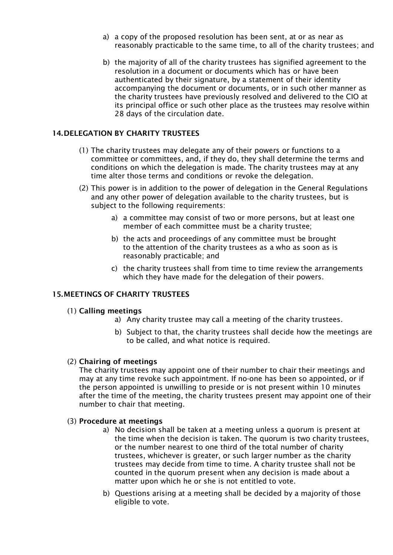- a) a copy of the proposed resolution has been sent, at or as near as reasonably practicable to the same time, to all of the charity trustees; and
- b) the majority of all of the charity trustees has signified agreement to the resolution in a document or documents which has or have been authenticated by their signature, by a statement of their identity accompanying the document or documents, or in such other manner as the charity trustees have previously resolved and delivered to the CIO at its principal office or such other place as the trustees may resolve within 28 days of the circulation date.

## 14.DELEGATION BY CHARITY TRUSTEES

- (1) The charity trustees may delegate any of their powers or functions to a committee or committees, and, if they do, they shall determine the terms and conditions on which the delegation is made. The charity trustees may at any time alter those terms and conditions or revoke the delegation.
- (2) This power is in addition to the power of delegation in the General Regulations and any other power of delegation available to the charity trustees, but is subject to the following requirements:
	- a) a committee may consist of two or more persons, but at least one member of each committee must be a charity trustee;
	- b) the acts and proceedings of any committee must be brought to the attention of the charity trustees as a who as soon as is reasonably practicable; and
	- c) the charity trustees shall from time to time review the arrangements which they have made for the delegation of their powers.

## 15.MEETINGS OF CHARITY TRUSTEES

#### (1) Calling meetings

- a) Any charity trustee may call a meeting of the charity trustees.
	- b) Subject to that, the charity trustees shall decide how the meetings are to be called, and what notice is required.

#### (2) Chairing of meetings

The charity trustees may appoint one of their number to chair their meetings and may at any time revoke such appointment. If no-one has been so appointed, or if the person appointed is unwilling to preside or is not present within 10 minutes after the time of the meeting, the charity trustees present may appoint one of their number to chair that meeting.

#### (3) Procedure at meetings

- a) No decision shall be taken at a meeting unless a quorum is present at the time when the decision is taken. The quorum is two charity trustees, or the number nearest to one third of the total number of charity trustees, whichever is greater, or such larger number as the charity trustees may decide from time to time. A charity trustee shall not be counted in the quorum present when any decision is made about a matter upon which he or she is not entitled to vote.
- b) Questions arising at a meeting shall be decided by a majority of those eligible to vote.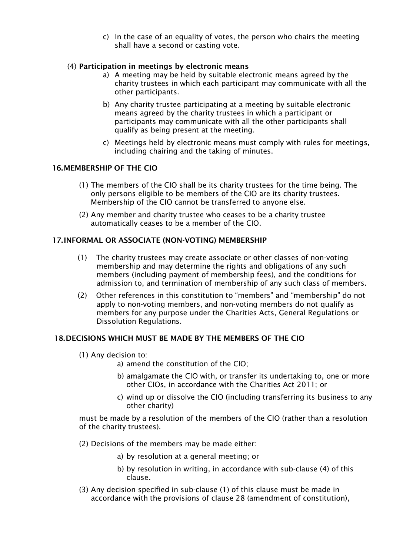c) In the case of an equality of votes, the person who chairs the meeting shall have a second or casting vote.

## (4) Participation in meetings by electronic means

- a) A meeting may be held by suitable electronic means agreed by the charity trustees in which each participant may communicate with all the other participants.
- b) Any charity trustee participating at a meeting by suitable electronic means agreed by the charity trustees in which a participant or participants may communicate with all the other participants shall qualify as being present at the meeting.
- c) Meetings held by electronic means must comply with rules for meetings, including chairing and the taking of minutes.

## 16.MEMBERSHIP OF THE CIO

- (1) The members of the CIO shall be its charity trustees for the time being. The only persons eligible to be members of the CIO are its charity trustees. Membership of the CIO cannot be transferred to anyone else.
- (2) Any member and charity trustee who ceases to be a charity trustee automatically ceases to be a member of the CIO.

## 17.INFORMAL OR ASSOCIATE (NON-VOTING) MEMBERSHIP

- (1) The charity trustees may create associate or other classes of non-voting membership and may determine the rights and obligations of any such members (including payment of membership fees), and the conditions for admission to, and termination of membership of any such class of members.
- (2) Other references in this constitution to "members" and "membership" do not apply to non-voting members, and non-voting members do not qualify as members for any purpose under the Charities Acts, General Regulations or Dissolution Regulations.

## 18.DECISIONS WHICH MUST BE MADE BY THE MEMBERS OF THE CIO

- (1) Any decision to:
	- a) amend the constitution of the CIO;
	- b) amalgamate the CIO with, or transfer its undertaking to, one or more other CIOs, in accordance with the Charities Act 2011; or
	- c) wind up or dissolve the CIO (including transferring its business to any other charity)

must be made by a resolution of the members of the CIO (rather than a resolution of the charity trustees).

- (2) Decisions of the members may be made either:
	- a) by resolution at a general meeting; or
	- b) by resolution in writing, in accordance with sub-clause (4) of this clause.
- (3) Any decision specified in sub-clause (1) of this clause must be made in accordance with the provisions of clause 28 (amendment of constitution),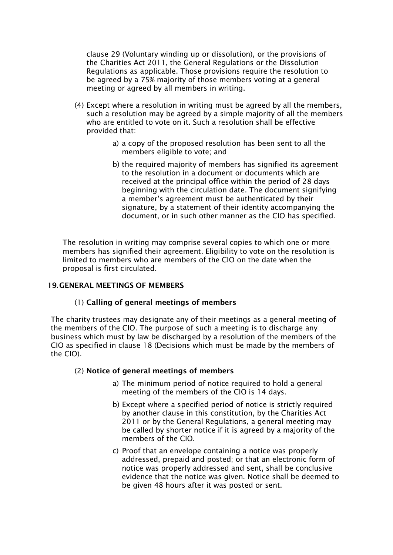clause 29 (Voluntary winding up or dissolution), or the provisions of the Charities Act 2011, the General Regulations or the Dissolution Regulations as applicable. Those provisions require the resolution to be agreed by a 75% majority of those members voting at a general meeting or agreed by all members in writing.

- (4) Except where a resolution in writing must be agreed by all the members, such a resolution may be agreed by a simple majority of all the members who are entitled to vote on it. Such a resolution shall be effective provided that:
	- a) a copy of the proposed resolution has been sent to all the members eligible to vote; and
	- b) the required majority of members has signified its agreement to the resolution in a document or documents which are received at the principal office within the period of 28 days beginning with the circulation date. The document signifying a member's agreement must be authenticated by their signature, by a statement of their identity accompanying the document, or in such other manner as the CIO has specified.

The resolution in writing may comprise several copies to which one or more members has signified their agreement. Eligibility to vote on the resolution is limited to members who are members of the CIO on the date when the proposal is first circulated.

## 19.GENERAL MEETINGS OF MEMBERS

## (1) Calling of general meetings of members

The charity trustees may designate any of their meetings as a general meeting of the members of the CIO. The purpose of such a meeting is to discharge any business which must by law be discharged by a resolution of the members of the CIO as specified in clause 18 (Decisions which must be made by the members of the CIO).

## (2) Notice of general meetings of members

- a) The minimum period of notice required to hold a general meeting of the members of the CIO is 14 days.
- b) Except where a specified period of notice is strictly required by another clause in this constitution, by the Charities Act 2011 or by the General Regulations, a general meeting may be called by shorter notice if it is agreed by a majority of the members of the CIO
- c) Proof that an envelope containing a notice was properly addressed, prepaid and posted; or that an electronic form of notice was properly addressed and sent, shall be conclusive evidence that the notice was given. Notice shall be deemed to be given 48 hours after it was posted or sent.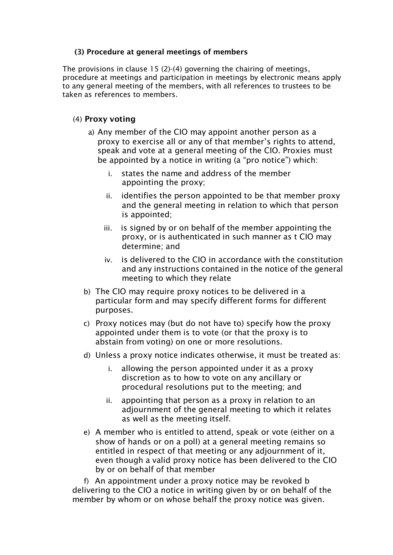## (3) Procedure at general meetings of members

The provisions in clause 15 (2)-(4) governing the chairing of meetings, procedure at meetings and participation in meetings by electronic means apply to any general meeting of the members, with all references to trustees to be taken as references to members.

# (4) Proxy voting

- a) Any member of the CIO may appoint another person as a proxy to exercise all or any of that member's rights to attend, speak and vote at a general meeting of the CIO. Proxies must be appointed by a notice in writing (a "pro notice") which:
	- i. states the name and address of the member appointing the proxy;
	- ii. identifies the person appointed to be that member proxy and the general meeting in relation to which that person is appointed;
	- iii. is signed by or on behalf of the member appointing the proxy, or is authenticated in such manner as t CIO may determine; and
	- iv. is delivered to the CIO in accordance with the constitution and any instructions contained in the notice of the general meeting to which they relate
- b) The CIO may require proxy notices to be delivered in a particular form and may specify different forms for different purposes.
- c) Proxy notices may (but do not have to) specify how the proxy appointed under them is to vote (or that the proxy is to abstain from voting) on one or more resolutions.
- d) Unless a proxy notice indicates otherwise, it must be treated as:
	- i. allowing the person appointed under it as a proxy discretion as to how to vote on any ancillary or procedural resolutions put to the meeting; and
	- ii. appointing that person as a proxy in relation to an adjournment of the general meeting to which it relates as well as the meeting itself.
- e) A member who is entitled to attend, speak or vote (either on a show of hands or on a poll) at a general meeting remains so entitled in respect of that meeting or any adjournment of it, even though a valid proxy notice has been delivered to the CIO by or on behalf of that member

 f) An appointment under a proxy notice may be revoked b delivering to the CIO a notice in writing given by or on behalf of the member by whom or on whose behalf the proxy notice was given.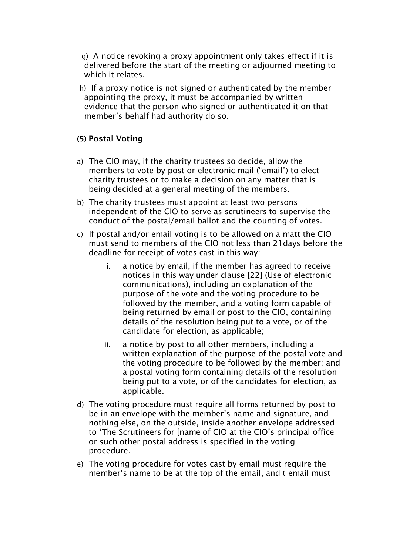g) A notice revoking a proxy appointment only takes effect if it is delivered before the start of the meeting or adjourned meeting to which it relates.

 h) If a proxy notice is not signed or authenticated by the member appointing the proxy, it must be accompanied by written evidence that the person who signed or authenticated it on that member's behalf had authority do so.

# (5) Postal Voting

- a) The CIO may, if the charity trustees so decide, allow the members to vote by post or electronic mail ("email") to elect charity trustees or to make a decision on any matter that is being decided at a general meeting of the members.
- b) The charity trustees must appoint at least two persons independent of the CIO to serve as scrutineers to supervise the conduct of the postal/email ballot and the counting of votes.
- c) If postal and/or email voting is to be allowed on a matt the CIO must send to members of the CIO not less than 21days before the deadline for receipt of votes cast in this way:
	- i. a notice by email, if the member has agreed to receive notices in this way under clause [22] (Use of electronic communications), including an explanation of the purpose of the vote and the voting procedure to be followed by the member, and a voting form capable of being returned by email or post to the CIO, containing details of the resolution being put to a vote, or of the candidate for election, as applicable;
	- ii. a notice by post to all other members, including a written explanation of the purpose of the postal vote and the voting procedure to be followed by the member; and a postal voting form containing details of the resolution being put to a vote, or of the candidates for election, as applicable.
- d) The voting procedure must require all forms returned by post to be in an envelope with the member's name and signature, and nothing else, on the outside, inside another envelope addressed to 'The Scrutineers for [name of CIO at the CIO's principal office or such other postal address is specified in the voting procedure.
- e) The voting procedure for votes cast by email must require the member's name to be at the top of the email, and t email must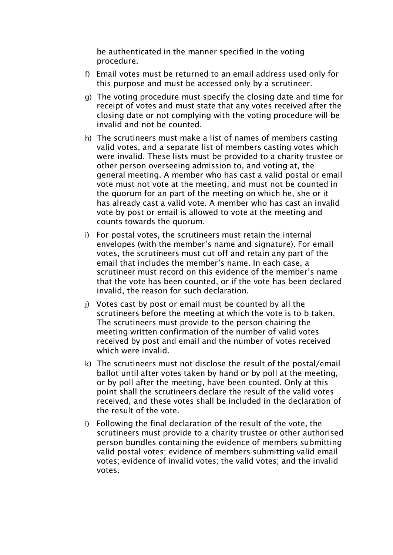be authenticated in the manner specified in the voting procedure.

- f) Email votes must be returned to an email address used only for this purpose and must be accessed only by a scrutineer.
- g) The voting procedure must specify the closing date and time for receipt of votes and must state that any votes received after the closing date or not complying with the voting procedure will be invalid and not be counted.
- h) The scrutineers must make a list of names of members casting valid votes, and a separate list of members casting votes which were invalid. These lists must be provided to a charity trustee or other person overseeing admission to, and voting at, the general meeting. A member who has cast a valid postal or email vote must not vote at the meeting, and must not be counted in the quorum for an part of the meeting on which he, she or it has already cast a valid vote. A member who has cast an invalid vote by post or email is allowed to vote at the meeting and counts towards the quorum.
- i) For postal votes, the scrutineers must retain the internal envelopes (with the member's name and signature). For email votes, the scrutineers must cut off and retain any part of the email that includes the member's name. In each case, a scrutineer must record on this evidence of the member's name that the vote has been counted, or if the vote has been declared invalid, the reason for such declaration.
- j) Votes cast by post or email must be counted by all the scrutineers before the meeting at which the vote is to b taken. The scrutineers must provide to the person chairing the meeting written confirmation of the number of valid votes received by post and email and the number of votes received which were invalid.
- k) The scrutineers must not disclose the result of the postal/email ballot until after votes taken by hand or by poll at the meeting, or by poll after the meeting, have been counted. Only at this point shall the scrutineers declare the result of the valid votes received, and these votes shall be included in the declaration of the result of the vote.
- l) Following the final declaration of the result of the vote, the scrutineers must provide to a charity trustee or other authorised person bundles containing the evidence of members submitting valid postal votes; evidence of members submitting valid email votes; evidence of invalid votes; the valid votes; and the invalid votes.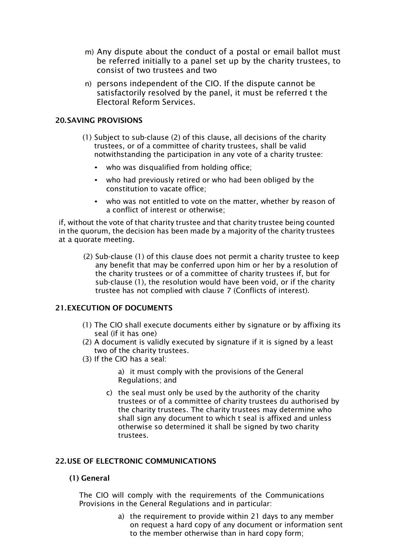- m) Any dispute about the conduct of a postal or email ballot must be referred initially to a panel set up by the charity trustees, to consist of two trustees and two
- n) persons independent of the CIO. If the dispute cannot be satisfactorily resolved by the panel, it must be referred t the Electoral Reform Services.

## 20.SAVING PROVISIONS

- (1) Subject to sub-clause (2) of this clause, all decisions of the charity trustees, or of a committee of charity trustees, shall be valid notwithstanding the participation in any vote of a charity trustee:
	- who was disqualified from holding office;
	- who had previously retired or who had been obliged by the constitution to vacate office;
	- who was not entitled to vote on the matter, whether by reason of a conflict of interest or otherwise;

if, without the vote of that charity trustee and that charity trustee being counted in the quorum, the decision has been made by a majority of the charity trustees at a quorate meeting.

(2) Sub-clause (1) of this clause does not permit a charity trustee to keep any benefit that may be conferred upon him or her by a resolution of the charity trustees or of a committee of charity trustees if, but for sub-clause (1), the resolution would have been void, or if the charity trustee has not complied with clause 7 (Conflicts of interest).

## 21.EXECUTION OF DOCUMENTS

- (1) The CIO shall execute documents either by signature or by affixing its seal (if it has one)
- (2) A document is validly executed by signature if it is signed by a least two of the charity trustees.
- (3) If the CIO has a seal:

a) it must comply with the provisions of the General Regulations; and

c) the seal must only be used by the authority of the charity trustees or of a committee of charity trustees du authorised by the charity trustees. The charity trustees may determine who shall sign any document to which t seal is affixed and unless otherwise so determined it shall be signed by two charity trustees.

## 22.USE OF ELECTRONIC COMMUNICATIONS

## (1) General

The CIO will comply with the requirements of the Communications Provisions in the General Regulations and in particular:

> a) the requirement to provide within 21 days to any member on request a hard copy of any document or information sent to the member otherwise than in hard copy form;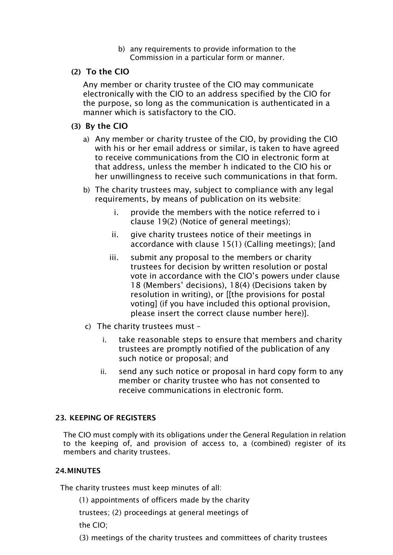b) any requirements to provide information to the Commission in a particular form or manner.

# (2) To the CIO

Any member or charity trustee of the CIO may communicate electronically with the CIO to an address specified by the CIO for the purpose, so long as the communication is authenticated in a manner which is satisfactory to the CIO.

# (3) By the CIO

- a) Any member or charity trustee of the CIO, by providing the CIO with his or her email address or similar, is taken to have agreed to receive communications from the CIO in electronic form at that address, unless the member h indicated to the CIO his or her unwillingness to receive such communications in that form.
- b) The charity trustees may, subject to compliance with any legal requirements, by means of publication on its website:
	- i. provide the members with the notice referred to i clause 19(2) (Notice of general meetings);
	- ii. give charity trustees notice of their meetings in accordance with clause 15(1) (Calling meetings); [and
	- iii. submit any proposal to the members or charity trustees for decision by written resolution or postal vote in accordance with the CIO's powers under clause 18 (Members' decisions), 18(4) (Decisions taken by resolution in writing), or [[the provisions for postal voting] (if you have included this optional provision, please insert the correct clause number here)].
- c) The charity trustees must
	- i. take reasonable steps to ensure that members and charity trustees are promptly notified of the publication of any such notice or proposal; and
	- ii. send any such notice or proposal in hard copy form to any member or charity trustee who has not consented to receive communications in electronic form.

# 23. KEEPING OF REGISTERS

The CIO must comply with its obligations under the General Regulation in relation to the keeping of, and provision of access to, a (combined) register of its members and charity trustees.

# 24.MINUTES

The charity trustees must keep minutes of all:

(1) appointments of officers made by the charity

trustees; (2) proceedings at general meetings of

the CIO;

(3) meetings of the charity trustees and committees of charity trustees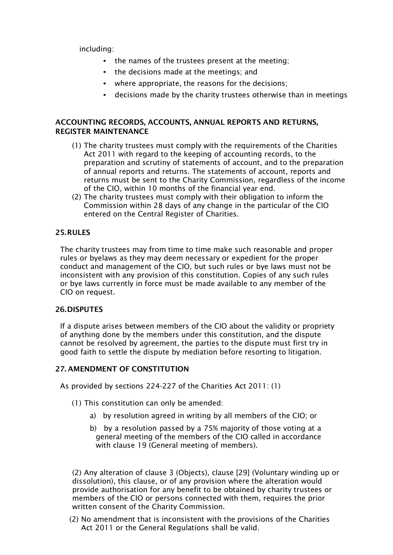including:

- the names of the trustees present at the meeting;
- the decisions made at the meetings; and
- where appropriate, the reasons for the decisions;
- decisions made by the charity trustees otherwise than in meetings

## ACCOUNTING RECORDS, ACCOUNTS, ANNUAL REPORTS AND RETURNS, REGISTER MAINTENANCE

- (1) The charity trustees must comply with the requirements of the Charities Act 2011 with regard to the keeping of accounting records, to the preparation and scrutiny of statements of account, and to the preparation of annual reports and returns. The statements of account, reports and returns must be sent to the Charity Commission, regardless of the income of the CIO, within 10 months of the financial year end.
- (2) The charity trustees must comply with their obligation to inform the Commission within 28 days of any change in the particular of the CIO entered on the Central Register of Charities.

## 25.RULES

The charity trustees may from time to time make such reasonable and proper rules or byelaws as they may deem necessary or expedient for the proper conduct and management of the CIO, but such rules or bye laws must not be inconsistent with any provision of this constitution. Copies of any such rules or bye laws currently in force must be made available to any member of the CIO on request.

## 26.DISPUTES

If a dispute arises between members of the CIO about the validity or propriety of anything done by the members under this constitution, and the dispute cannot be resolved by agreement, the parties to the dispute must first try in good faith to settle the dispute by mediation before resorting to litigation.

## 27. AMENDMENT OF CONSTITUTION

As provided by sections 224-227 of the Charities Act 2011: (1)

- (1) This constitution can only be amended:
	- a) by resolution agreed in writing by all members of the CIO; or
	- b) by a resolution passed by a 75% majority of those voting at a general meeting of the members of the CIO called in accordance with clause 19 (General meeting of members).

(2) Any alteration of clause 3 (Objects), clause [29] (Voluntary winding up or dissolution), this clause, or of any provision where the alteration would provide authorisation for any benefit to be obtained by charity trustees or members of the CIO or persons connected with them, requires the prior written consent of the Charity Commission.

(2) No amendment that is inconsistent with the provisions of the Charities Act 2011 or the General Regulations shall be valid.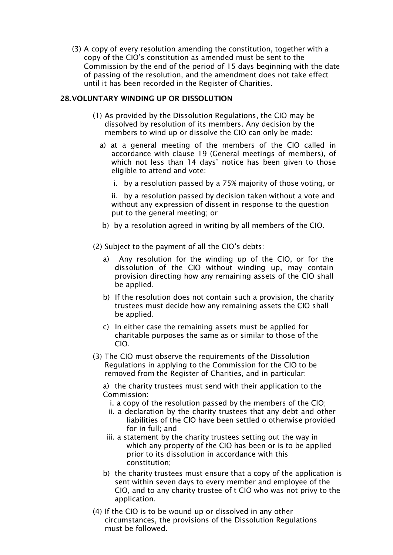(3) A copy of every resolution amending the constitution, together with a copy of the CIO's constitution as amended must be sent to the Commission by the end of the period of 15 days beginning with the date of passing of the resolution, and the amendment does not take effect until it has been recorded in the Register of Charities.

## 28.VOLUNTARY WINDING UP OR DISSOLUTION

- (1) As provided by the Dissolution Regulations, the CIO may be dissolved by resolution of its members. Any decision by the members to wind up or dissolve the CIO can only be made:
	- a) at a general meeting of the members of the CIO called in accordance with clause 19 (General meetings of members), of which not less than 14 days' notice has been given to those eligible to attend and vote:
		- i. by a resolution passed by a 75% majority of those voting, or

ii. by a resolution passed by decision taken without a vote and without any expression of dissent in response to the question put to the general meeting; or

- b) by a resolution agreed in writing by all members of the CIO.
- (2) Subject to the payment of all the CIO's debts:
	- a) Any resolution for the winding up of the CIO, or for the dissolution of the CIO without winding up, may contain provision directing how any remaining assets of the CIO shall be applied.
	- b) If the resolution does not contain such a provision, the charity trustees must decide how any remaining assets the CIO shall be applied.
	- c) In either case the remaining assets must be applied for charitable purposes the same as or similar to those of the CIO.
- (3) The CIO must observe the requirements of the Dissolution Regulations in applying to the Commission for the CIO to be removed from the Register of Charities, and in particular:

a) the charity trustees must send with their application to the Commission:

- i. a copy of the resolution passed by the members of the CIO;
- ii. a declaration by the charity trustees that any debt and other liabilities of the CIO have been settled o otherwise provided for in full; and
- iii. a statement by the charity trustees setting out the way in which any property of the CIO has been or is to be applied prior to its dissolution in accordance with this constitution;
- b) the charity trustees must ensure that a copy of the application is sent within seven days to every member and employee of the CIO, and to any charity trustee of t CIO who was not privy to the application.
- (4) If the CIO is to be wound up or dissolved in any other circumstances, the provisions of the Dissolution Regulations must be followed.